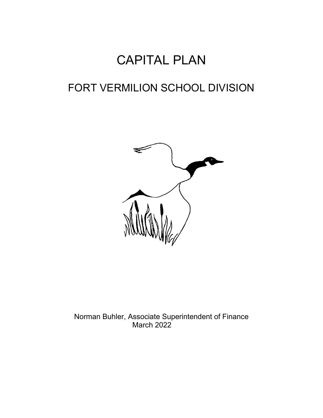# CAPITAL PLAN

# FORT VERMILION SCHOOL DIVISION



Norman Buhler, Associate Superintendent of Finance March 2022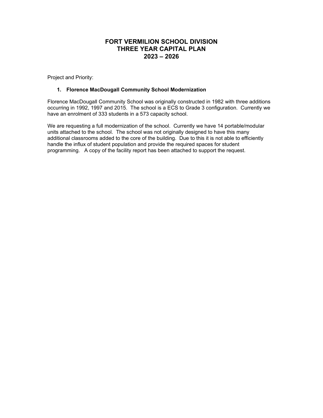### **FORT VERMILION SCHOOL DIVISION THREE YEAR CAPITAL PLAN 2023 – 2026**

Project and Priority:

### **1. Florence MacDougall Community School Modernization**

Florence MacDougall Community School was originally constructed in 1982 with three additions occurring in 1992, 1997 and 2015. The school is a ECS to Grade 3 configuration. Currently we have an enrolment of 333 students in a 573 capacity school.

We are requesting a full modernization of the school. Currently we have 14 portable/modular units attached to the school. The school was not originally designed to have this many additional classrooms added to the core of the building. Due to this it is not able to efficiently handle the influx of student population and provide the required spaces for student programming. A copy of the facility report has been attached to support the request.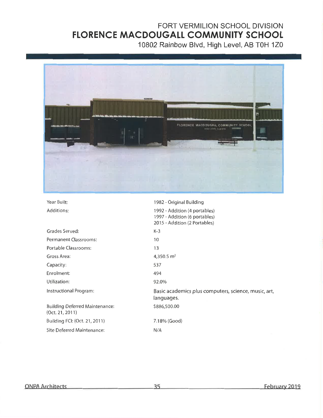# FORT VERMILION SCHOOL DIVISION FLORENCE MACDOUGALL COMMUNITY SCHOOL

10802 Rainbow Blvd, High Level, AB T0H 1Z0



| Year Built:                                              | 1982 - Original Building                                                                        |
|----------------------------------------------------------|-------------------------------------------------------------------------------------------------|
| Additions:                                               | 1992 - Addition (4 portables)<br>1997 - Addition (6 portables)<br>2015 - Addition (2 Portables) |
| Grades Served:                                           | K-3                                                                                             |
| Permanent Classrooms:                                    | 10                                                                                              |
| Portable Classrooms:                                     | 13                                                                                              |
| Gross Area:                                              | 4,350.5 $m2$                                                                                    |
| Capacity:                                                | 537                                                                                             |
| Enrolment:                                               | 494                                                                                             |
| Utilization:                                             | 92.0%                                                                                           |
| Instructional Program:                                   | Basic academics plus computers, science, music, art,<br>languages.                              |
| <b>Building Deferred Maintenance:</b><br>(Oct. 21, 2011) | \$886,500.00                                                                                    |
| Building FCI: (Oct. 21, 2011)                            | 7.18% (Good)                                                                                    |
| Site Deferred Maintenance:                               | N/A                                                                                             |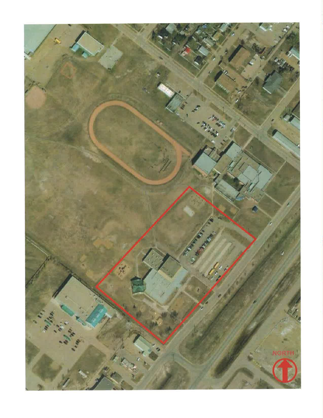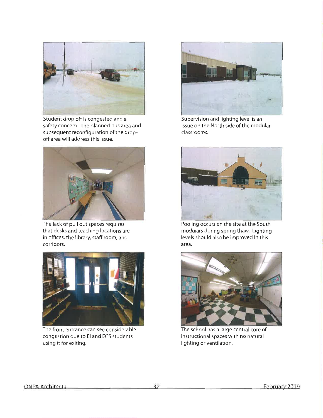

Student drop off is congested and a safety concern. The planned bus area and subsequent reconfiguration of the dropoff area will address this issue.



The lack of pull out spaces requires that desks and teaching locations are in offices, the library, staff room, and corridors.



The front entrance can see considerable congestion due to El and ECS students using it for exiting.



Supervision and lighting level is an issue on the North side of the modular classrooms.



Pooling occurs on the site at the South modulars during spring thaw. Lighting levels should also be improved in this area.



The school has a large central core of instructional spaces with no natural lighting or ventilation.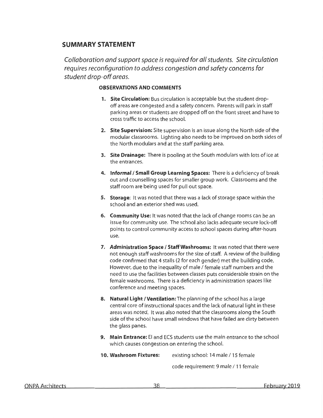# **SUMMARY STATEMENT**

Collaboration and support space is required for all students. Site circulation requires reconfiguration to address congestion and safety concerns for student drop-off areas.

### **OBSERVATIONS AND COMMENTS**

- 1. Site Circulation: Bus circulation is acceptable but the student dropoff areas are congested and a safety concern. Parents will park in staff parking areas or students are dropped off on the front street and have to cross traffic to access the school.
- 2. Site Supervision: Site supervision is an issue along the North side of the modular classrooms. Lighting also needs to be improved on both sides of the North modulars and at the staff parking area.
- 3. Site Drainage: There is pooling at the South modulars with lots of ice at the entrances.
- 4. Informal / Small Group Learning Spaces: There is a deficiency of break out and counselling spaces for smaller group work. Classrooms and the staff room are being used for pull out space.
- 5. Storage: It was noted that there was a lack of storage space within the school and an exterior shed was used.
- 6. Community Use: It was noted that the lack of change rooms can be an issue for community use. The school also lacks adequate secure lock-off points to control community access to school spaces during after-hours use.
- 7. Administration Space / Staff Washrooms: It was noted that there were not enough staff washrooms for the size of staff. A review of the building code confirmed that 4 stalls (2 for each gender) met the building code. However, due to the inequality of male / female staff numbers and the need to use the facilities between classes puts considerable strain on the female washrooms. There is a deficiency in administration spaces like conference and meeting spaces.
- 8. Natural Light / Ventilation: The planning of the school has a large central core of instructional spaces and the lack of natural light in these areas was noted. It was also noted that the classrooms along the South side of the school have small windows that have failed are dirty between the glass panes.
- 9. Main Entrance: El and ECS students use the main entrance to the school which causes congestion on entering the school.

10. Washroom Fixtures: existing school: 14 male / 15 female

code requirement: 9 male / 11 female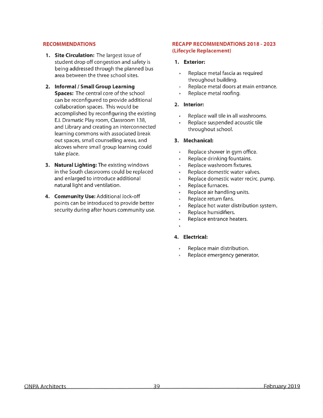### **RECOMMENDATIONS**

- 1. Site Circulation: The largest issue of student drop off congestion and safety is being addressed through the planned bus area between the three school sites.
- 2. Informal / Small Group Learning **Spaces:** The central core of the school can be reconfigured to provide additional collaboration spaces. This would be accomplished by reconfiguring the existing E.I. Dramatic Play room, Classroom 138, and Library and creating an interconnected learning commons with associated break out spaces, small counselling areas, and alcoves where small group learning could take place.
- 3. Natural Lighting: The existing windows in the South classrooms could be replaced and enlarged to introduce additional natural light and ventilation.
- 4. Community Use: Additional lock-off points can be introduced to provide better security during after hours community use.

### **RECAPP RECOMMENDATIONS 2018 - 2023** (Lifecycle Replacement)

### 1. Exterior:

- Replace metal fascia as required throughout building.
- Replace metal doors at main entrance.
- Replace metal roofing.

### 2. Interior:

- $\bullet$ Replace wall tile in all washrooms.
- Replace suspended acoustic tile throughout school.

### 3. Mechanical:

- Replace shower in gym office. ä,
- Replace drinking fountains. ۰
- Replace washroom fixtures. ä.
- Replace domestic water valves. ¥,
- Replace domestic water recirc. pump. ٠
- ٠ Replace furnaces.
- ¥ Replace air handling units.
- Replace return fans. ä
- Replace hot water distribution system.  $\ddot{\phantom{a}}$
- Replace humidifiers. ¥
- Replace entrance heaters. ¥
- 

### 4. Electrical:

- Replace main distribution.
- Replace emergency generator.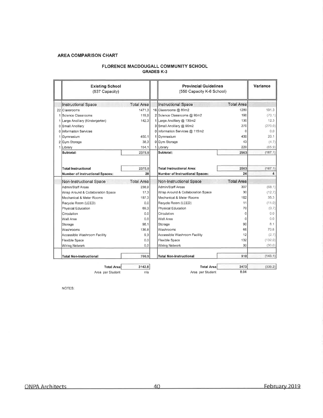### **AREA COMPARISON CHART**

### FLORENCE MACDOUGALL COMMUNITY SCHOOL **GRADES K-3**

|                             | <b>Existing School</b><br>(537 Capacity) |                   |  | <b>Provincial Guidelines</b><br>(550 Capacity K-6 School) |                   | Variance |
|-----------------------------|------------------------------------------|-------------------|--|-----------------------------------------------------------|-------------------|----------|
|                             | <b>Instructional Space</b>               | <b>Total Area</b> |  | <b>Instructional Space</b>                                | <b>Total Area</b> |          |
|                             | 22 Classrooms                            | 1471.3            |  | 16 Classrooms @ 80m2                                      | 1280              | 191.3    |
|                             | 1 Science Classrooms                     | 119.9             |  | 2 Science Classrooms @ 95m2                               | 190               | (70.1)   |
|                             | 1 Large Ancillary (Kindergarten)         | 142.3             |  | 1 Large Ancillary @ 130m2                                 | 130               | 12.3     |
|                             | 0 Small Ancillary                        |                   |  | 3 Small Ancillary @ 90m2                                  | 270               | (270.0)  |
|                             | 0 Information Services                   |                   |  | 0 Information Services @ 115m2                            | $\theta$          | 0.0      |
|                             | 1 Gymnasium                              | 450.1             |  | 1 Gymnasium                                               | 430               | 20.1     |
|                             | 2 Gym Storage                            | 38,3              |  | 0 Gym Storage                                             | 43                | (4.7)    |
|                             | 1 Library                                | 154.1             |  | 1 Library                                                 | 220               | (65.9)   |
|                             | Subtotal:                                | 2375.9            |  | Subtotal:                                                 | 2563              | (187, 1) |
|                             |                                          |                   |  |                                                           |                   |          |
|                             | <b>Total Instructional</b>               | 2375.9            |  | <b>Total Instructional Area:</b>                          | 2563              | (187.1)  |
|                             | <b>Number of Instructional Spaces:</b>   | 28                |  | Number of Instructional Spaces:                           | 24                | 4        |
|                             | Non-Instructional Space                  | <b>Total Area</b> |  | Non-Instructional Space                                   | <b>Total Area</b> |          |
|                             | Admin/Staff Areas                        | 238.9             |  | Admin/Staff Areas                                         | 307               | (68.1)   |
|                             | Wrap Around & Collaboration Space        | 17.3              |  | Wrap Around & Collaboration Space                         | 30                | (12.7)   |
|                             | Mechanical & Meter Rooms                 | 197.3             |  | Mechanical & Meter Rooms                                  | 162               | 35.3     |
|                             | Recycle Room (LEED)                      | 0.0               |  | Recycle Room (LEED)                                       | 11                | (11.0)   |
|                             | Physical Education                       | 69.3              |  | Physical Education                                        | 70                | (0.7)    |
|                             | Circulation                              | 0.0               |  | Circulation                                               | $\Omega$          | 0.0      |
|                             | Wall Area                                | 0.0               |  | Wall Area                                                 | $\mathbf 0$       | 0.0      |
|                             | Storage                                  | 98.1              |  | Storage                                                   | 90                | 8.1      |
|                             | Washrooms                                | 136.8             |  | Washrooms                                                 | 66                | 70.8     |
|                             | Accessible Washroom Facility             | 9.3               |  | Accessible Washroom Facility                              | 12                | (2.7)    |
|                             | Flexible Space                           | 0.0               |  | Flexible Space                                            | 132               | (132.0)  |
|                             | Wiring Network                           | 0.0               |  | Wiring Network                                            | 30                | (30.0)   |
|                             | <b>Total Non-Instructional</b>           | 766.9             |  | <b>Total Non-Instructional</b>                            | 910               | (143.1)  |
|                             |                                          |                   |  | <b>Total Area</b>                                         | 3473              | (330.2)  |
| <b>Total Area</b><br>3142.8 |                                          |                   |  |                                                           | 8.04              |          |
| Area per Student<br>n/a     |                                          |                   |  | Area per Student                                          |                   |          |

NOTES: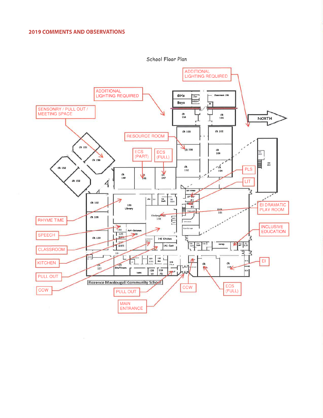

School Floor Plan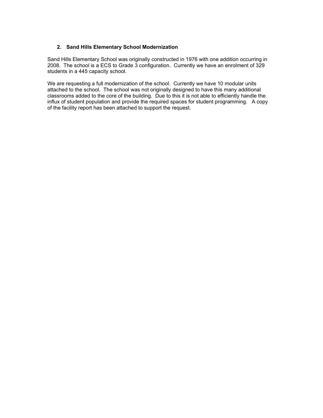### **2. Sand Hills Elementary School Modernization**

Sand Hills Elementary School was originally constructed in 1976 with one addition occurring in 2008. The school is a ECS to Grade 3 configuration. Currently we have an enrolment of 329 students in a 445 capacity school.

We are requesting a full modernization of the school. Currently we have 10 modular units attached to the school. The school was not originally designed to have this many additional classrooms added to the core of the building. Due to this it is not able to efficiently handle the influx of student population and provide the required spaces for student programming. A copy of the facility report has been attached to support the request.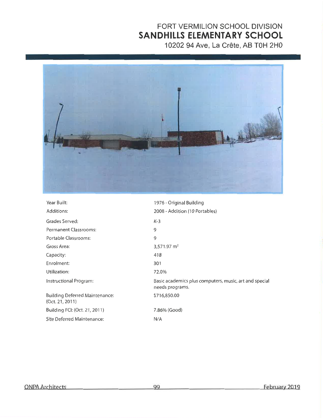# FORT VERMILION SCHOOL DIVISION SANDHILLS ELEMENTARY SCHOOL

10202 94 Ave, La Crête, AB T0H 2H0



| Year Built:                                              | 1976 - Original Building                                                  |
|----------------------------------------------------------|---------------------------------------------------------------------------|
| Additions:                                               | 2008 - Addition (10 Portables)                                            |
| Grades Served:                                           | $K-3$                                                                     |
| Permanent Classrooms:                                    | 9                                                                         |
| Portable Classrooms:                                     | 9                                                                         |
| Gross Area:                                              | $3,571.97 \text{ m}^2$                                                    |
| Capacity:                                                | 418                                                                       |
| Enrolment:                                               | 301                                                                       |
| Utilization:                                             | 72.0%                                                                     |
| Instructional Program:                                   | Basic academics plus computers, music, art and special<br>needs programs. |
| <b>Building Deferred Maintenance:</b><br>(Oct. 21, 2011) | \$716,850.00                                                              |
| Building FCI: (Oct. 21, 2011)                            | 7.86% (Good)                                                              |
| Site Deferred Maintenance:                               | N/A                                                                       |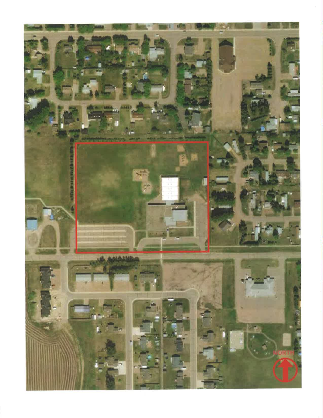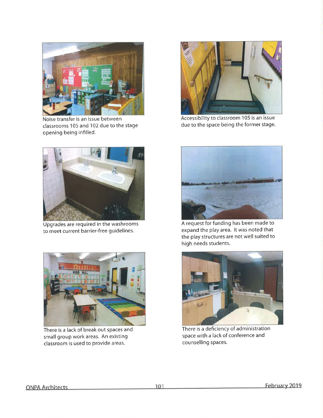

Noise transfer is an issue between classrooms 105 and 102 due to the stage opening being infilled.



Upgrades are required in the washrooms to meet current barrier-free guidelines.



There is a lack of break out spaces and small group work areas. An existing classroom is used to provide areas.



Accessibility to classroom 105 is an issue due to the space being the former stage.



A request for funding has been made to expand the play area. It was noted that the play structures are not well suited to high needs students.



There is a deficiency of administration space with a lack of conference and counselling spaces.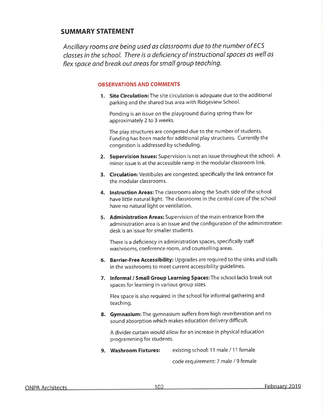# **SUMMARY STATEMENT**

Ancillary rooms are being used as classrooms due to the number of ECS classes in the school. There is a deficiency of instructional spaces as well as flex space and break out areas for small group teaching.

### **OBSERVATIONS AND COMMENTS**

1. Site Circulation: The site circulation is adequate due to the additional parking and the shared bus area with Ridgeview School.

Ponding is an issue on the playground during spring thaw for approximately 2 to 3 weeks.

The play structures are congested due to the number of students. Funding has been made for additional play structures. Currently the congestion is addressed by scheduling.

- 2. Supervision Issues: Supervision is not an issue throughout the school. A minor issue is at the accessible ramp in the modular classroom link.
- 3. Circulation: Vestibules are congested, specifically the link entrance for the modular classrooms.
- 4. Instruction Areas: The classrooms along the South side of the school have little natural light. The classrooms in the central core of the school have no natural light or ventilation.
- 5. Administration Areas: Supervision of the main entrance from the administration area is an issue and the configuration of the administration desk is an issue for smaller students.

There is a deficiency in administration spaces, specifically staff washrooms, conference room, and counselling areas.

- 6. Barrier-Free Accessibility: Upgrades are required to the sinks and stalls in the washrooms to meet current accessibility guidelines.
- 7. Informal / Small Group Learning Spaces: The school lacks break out spaces for learning in various group sizes.

Flex space is also required in the school for informal gathering and teaching.

8. Gymnasium: The gymnasium suffers from high reverberation and no sound absorption which makes education delivery difficult.

A divider curtain would allow for an increase in physical education programming for students.

9. Washroom Fixtures: existing school: 11 male / 11 female

code requirement: 7 male / 9 female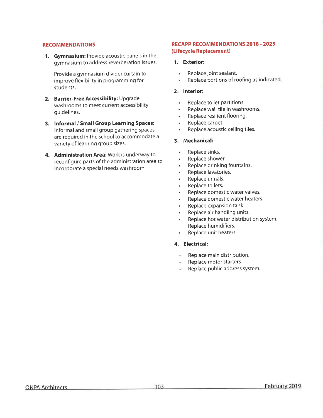### **RECOMMENDATIONS**

1. Gymnasium: Provide acoustic panels in the gymnasium to address reverberation issues.

Provide a gymnasium divider curtain to improve flexibility in programming for students.

- 2. Barrier-Free Accessibility: Upgrade washrooms to meet current accessibility quidelines.
- 3. Informal / Small Group Learning Spaces: Informal and small group gathering spaces are required in the school to accommodate a variety of learning group sizes.
- 4. Administration Area: Work is underway to reconfigure parts of the administration area to incorporate a special needs washroom.

### **RECAPP RECOMMENDATIONS 2018 - 2025** (Lifecycle Replacement)

### 1. Exterior:

- Replace joint sealant.  $\bullet$
- Replace portions of roofing as indicated.  $\hat{\bullet}$

### 2. Interior:

- Replace toilet partitions.  $\ddot{\phantom{0}}$
- Replace wall tile in washrooms.  $\ddot{\phantom{a}}$
- Replace resilient flooring.  $\bullet$
- Replace carpet.  $\bullet$
- Replace acoustic ceiling tiles.  $\bullet$

### 3. Mechanical:

- $\ddot{\phantom{1}}$ Replace sinks.
- Replace shower.
- Replace drinking fountains.  $\bullet$
- Replace lavatories.
- Replace urinals.  $\ddot{\phantom{0}}$
- Replace toilets.  $\bullet$
- Replace domestic water valves.  $\bullet$
- Replace domestic water heaters.  $\bullet$
- Replace expansion tank.
- Replace air handling units.
- Replace hot water distribution system.  $\bullet$  . Replace humidifiers.
- Replace unit heaters.

### 4. Electrical:

- $\cdot$ Replace main distribution.
- Replace motor starters.
- Replace public address system.  $\bullet$  .

 $103 -$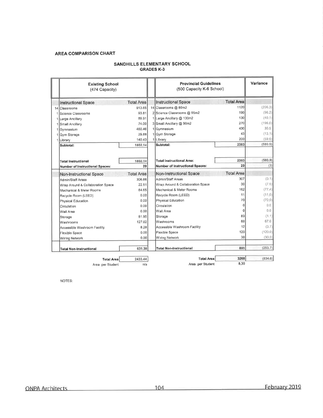#### **AREA COMPARISON CHART**

| <b>Existing School</b><br>(474 Capacity) |                   | <b>Provincial Guidelines</b><br>(500 Capacity K-6 School) |                   | Variance |
|------------------------------------------|-------------------|-----------------------------------------------------------|-------------------|----------|
| <b>Instructional Space</b>               | <b>Total Area</b> | <b>Instructional Space</b>                                | <b>Total Area</b> |          |
| 14 Classrooms                            | 913.65            | 14 Classrooms @ 80m2                                      | 1120              | (206.3)  |
| 1 Science Classrooms                     | 93.81             | 2 Science Classrooms @ 95m2                               | 190               | (96.2)   |
| 1 Large Ancillary                        | 89.91             | 1 Large Ancillary @ 130m2                                 | 130               | (40.1)   |
| 1 Small Ancillary                        | 74.00             | 3 Small Ancillary @ 90m2                                  | 270               | (196.0)  |
| 1 Gymnasium                              | 460.46            | 1 Gymnasium                                               | 430               | 30.5     |
| 1 Gym Storage                            | 29.88             | 1 Gym Storage                                             | 43                | (13.1)   |
| 1 Library                                | 140.43            | 1 Library                                                 | 200               | (59.6)   |
| Subtotal:                                | 1802.14           | Subtotal:                                                 | 2383              | (580.9)  |
| <b>Total Instructional</b>               | 1802.14           | <b>Total Instructional Area:</b>                          | 2383              | (580.9)  |
| <b>Number of Instructional Spaces:</b>   | 20                | Number of Instructional Spaces:                           | 23                | (3)      |
| <b>Non-Instructional Space</b>           | <b>Total Area</b> | Non-Instructional Space                                   | <b>Total Area</b> |          |
| Admin/Staff Areas                        | 306.88            | Admin/Staff Areas                                         | 307               | (0.1)    |
| Wrap Around & Collaboration Space        | 22.51             | Wrap Around & Collaboration Space                         | 30                | (7.5)    |
| Mechanical & Meter Rooms                 | 84.65             | Mechanical & Meter Rooms                                  | 162               | (77.4)   |
| Recycle Room (LEED)                      | 0.00              | Recycle Room (LEED)                                       | 11                | (11,0)   |
| Physical Education                       | 0.00              | Physical Education                                        | 70                | (70.0)   |
| Circulation                              | 0.00              | Circulation                                               | $\Omega$          | 0.0      |
| Wall Area                                | 0.00              | Wall Area                                                 | 0                 | 0.0      |
| Storage                                  | 81.95             | Storage                                                   | 83                | (1.1)    |
| Washrooms                                | 127.02            | Washrooms                                                 | 60                | 67.0     |
| Accessible Washroom Facility             | 8.28              | Accessible Washroom Facility                              | 12                | (3.7)    |
| Flexible Space                           | 0.00              | <b>Flexible Space</b>                                     | 120               | (120.0)  |
| Wiring Network                           | 0.00              | Wiring Network                                            | 30                | (30.0)   |
| <b>Total Non-Instructional</b>           | 631.30            | <b>Total Non-Instructional</b>                            | 885               | (253.7)  |
| <b>Total Area</b>                        | 2433.44           | <b>Total Area</b>                                         | 3268              | (834.6)  |

### SANDHILLS ELEMENTARY SCHOOL **GRADES K-3**

Total Area 2433.44 Area per Student

 $n/a$ 

Total Area Area per Student

 $8,30$ 

NOTES: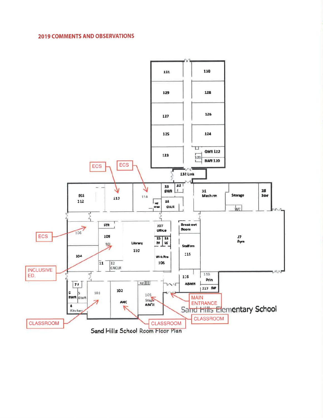## **2019 COMMENTS AND OBSERVATIONS**